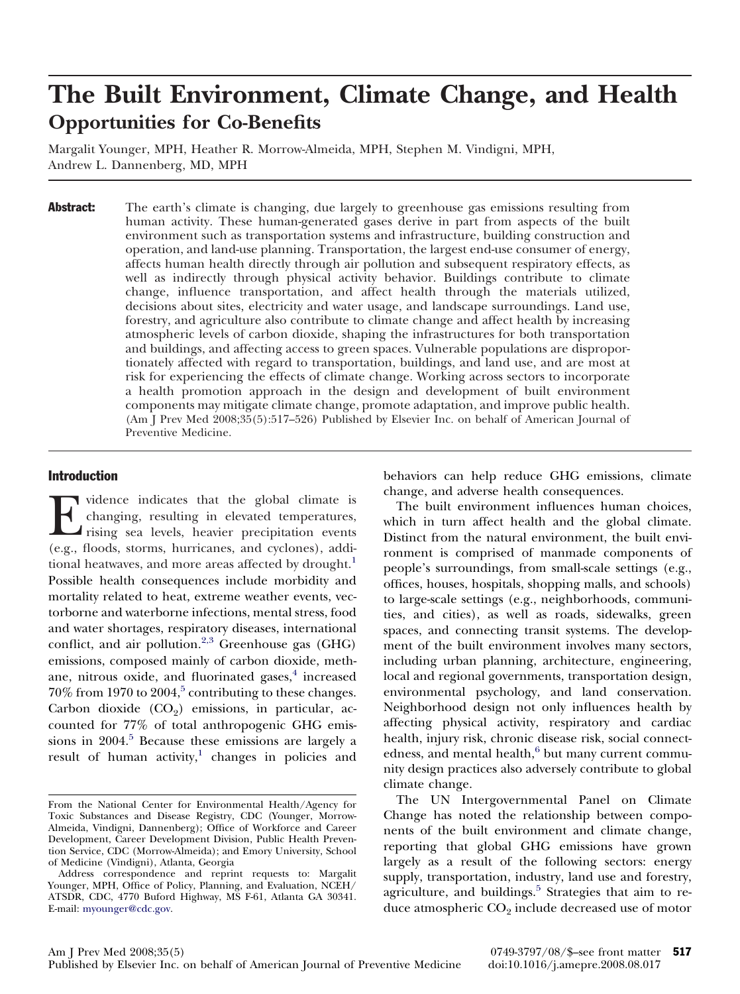# **The Built Environment, Climate Change, and Health Opportunities for Co-Benefits**

Margalit Younger, MPH, Heather R. Morrow-Almeida, MPH, Stephen M. Vindigni, MPH, Andrew L. Dannenberg, MD, MPH

**Abstract:** The earth's climate is changing, due largely to greenhouse gas emissions resulting from human activity. These human-generated gases derive in part from aspects of the built environment such as transportation systems and infrastructure, building construction and operation, and land-use planning. Transportation, the largest end-use consumer of energy, affects human health directly through air pollution and subsequent respiratory effects, as well as indirectly through physical activity behavior. Buildings contribute to climate change, influence transportation, and affect health through the materials utilized, decisions about sites, electricity and water usage, and landscape surroundings. Land use, forestry, and agriculture also contribute to climate change and affect health by increasing atmospheric levels of carbon dioxide, shaping the infrastructures for both transportation and buildings, and affecting access to green spaces. Vulnerable populations are disproportionately affected with regard to transportation, buildings, and land use, and are most at risk for experiencing the effects of climate change. Working across sectors to incorporate a health promotion approach in the design and development of built environment components may mitigate climate change, promote adaptation, and improve public health. (Am J Prev Med 2008;35(5):517–526) Published by Elsevier Inc. on behalf of American Journal of Preventive Medicine.

## Introduction

Twidence indicates that the global climate is<br>changing, resulting in elevated temperatures,<br>rising sea levels, heavier precipitation events<br>(e.g., floods, storms, hurricanes, and cyclones), addichanging, resulting in elevated temperatures, rising sea levels, heavier precipitation events (e.g., floods, storms, hurricanes, and cyclones), addi-tional heatwaves, and more areas affected by drought.<sup>[1](#page-7-0)</sup> Possible health consequences include morbidity and mortality related to heat, extreme weather events, vectorborne and waterborne infections, mental stress, food and water shortages, respiratory diseases, international conflict, and air pollution.<sup>[2,3](#page-7-0)</sup> Greenhouse gas  $(GHG)$ emissions, composed mainly of carbon dioxide, methane, nitrous oxide, and fluorinated gases, $4$  increased  $70\%$  from 1970 to 2004,<sup>[5](#page-7-0)</sup> contributing to these changes. Carbon dioxide  $(CO<sub>2</sub>)$  emissions, in particular, accounted for 77% of total anthropogenic GHG emis-sions in 2004.<sup>[5](#page-7-0)</sup> Because these emissions are largely a result of human activity, $\frac{1}{1}$  $\frac{1}{1}$  $\frac{1}{1}$  changes in policies and

behaviors can help reduce GHG emissions, climate change, and adverse health consequences.

The built environment influences human choices, which in turn affect health and the global climate. Distinct from the natural environment, the built environment is comprised of manmade components of people's surroundings, from small-scale settings (e.g., offices, houses, hospitals, shopping malls, and schools) to large-scale settings (e.g., neighborhoods, communities, and cities), as well as roads, sidewalks, green spaces, and connecting transit systems. The development of the built environment involves many sectors, including urban planning, architecture, engineering, local and regional governments, transportation design, environmental psychology, and land conservation. Neighborhood design not only influences health by affecting physical activity, respiratory and cardiac health, injury risk, chronic disease risk, social connectedness, and mental health, $6$  but many current community design practices also adversely contribute to global climate change.

The UN Intergovernmental Panel on Climate Change has noted the relationship between components of the built environment and climate change, reporting that global GHG emissions have grown largely as a result of the following sectors: energy supply, transportation, industry, land use and forestry, agriculture, and buildings. $5$  Strategies that aim to reduce atmospheric  $CO<sub>2</sub>$  include decreased use of motor

From the National Center for Environmental Health/Agency for Toxic Substances and Disease Registry, CDC (Younger, Morrow-Almeida, Vindigni, Dannenberg); Office of Workforce and Career Development, Career Development Division, Public Health Prevention Service, CDC (Morrow-Almeida); and Emory University, School of Medicine (Vindigni), Atlanta, Georgia

Address correspondence and reprint requests to: Margalit Younger, MPH, Office of Policy, Planning, and Evaluation, NCEH/ ATSDR, CDC, 4770 Buford Highway, MS F-61, Atlanta GA 30341. E-mail: [myounger@cdc.gov.](mailto:myounger@cdc.gov)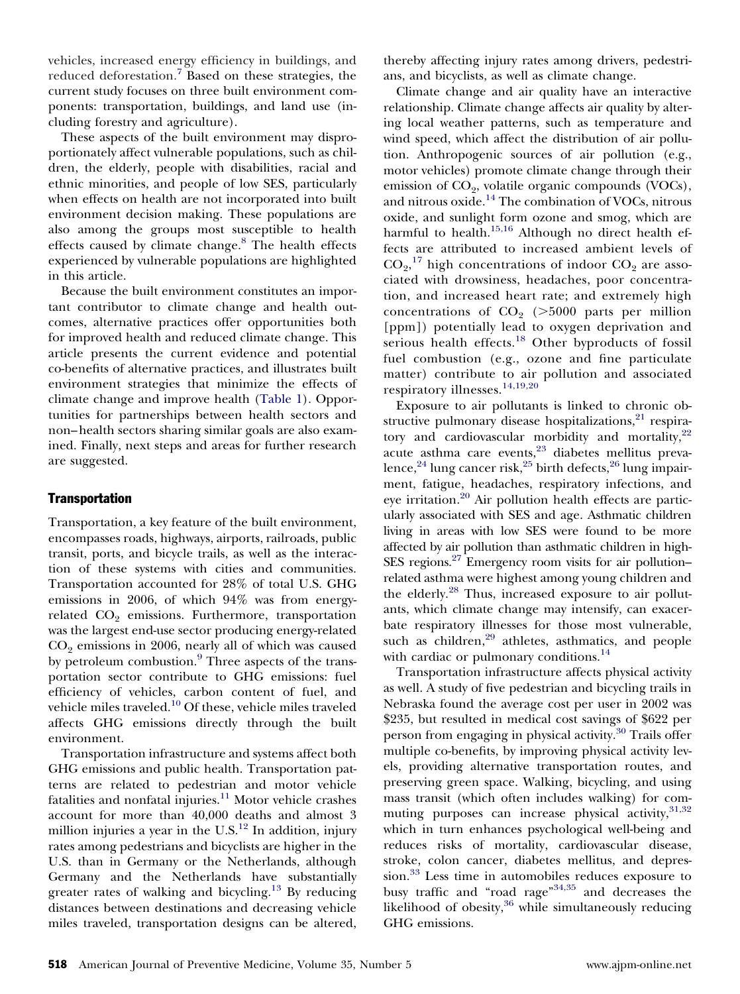vehicles, increased energy efficiency in buildings, and reduced deforestation.[7](#page-7-0) Based on these strategies, the current study focuses on three built environment components: transportation, buildings, and land use (including forestry and agriculture).

These aspects of the built environment may disproportionately affect vulnerable populations, such as children, the elderly, people with disabilities, racial and ethnic minorities, and people of low SES, particularly when effects on health are not incorporated into built environment decision making. These populations are also among the groups most susceptible to health effects caused by climate change. $8$  The health effects experienced by vulnerable populations are highlighted in this article.

Because the built environment constitutes an important contributor to climate change and health outcomes, alternative practices offer opportunities both for improved health and reduced climate change. This article presents the current evidence and potential co-benefits of alternative practices, and illustrates built environment strategies that minimize the effects of climate change and improve health [\(Table 1\)](#page-2-0). Opportunities for partnerships between health sectors and non–health sectors sharing similar goals are also examined. Finally, next steps and areas for further research are suggested.

# **Transportation**

Transportation, a key feature of the built environment, encompasses roads, highways, airports, railroads, public transit, ports, and bicycle trails, as well as the interaction of these systems with cities and communities. Transportation accounted for 28% of total U.S. GHG emissions in 2006, of which 94% was from energyrelated CO<sub>2</sub> emissions. Furthermore, transportation was the largest end-use sector producing energy-related  $CO<sub>9</sub>$  emissions in 2006, nearly all of which was caused by petroleum combustion.<sup>[9](#page-7-0)</sup> Three aspects of the transportation sector contribute to GHG emissions: fuel efficiency of vehicles, carbon content of fuel, and vehicle miles traveled.<sup>[10](#page-7-0)</sup> Of these, vehicle miles traveled affects GHG emissions directly through the built environment.

Transportation infrastructure and systems affect both GHG emissions and public health. Transportation patterns are related to pedestrian and motor vehicle fatalities and nonfatal injuries. $11$  Motor vehicle crashes account for more than 40,000 deaths and almost 3 million injuries a year in the  $U.S.<sup>12</sup>$  $U.S.<sup>12</sup>$  $U.S.<sup>12</sup>$  In addition, injury rates among pedestrians and bicyclists are higher in the U.S. than in Germany or the Netherlands, although Germany and the Netherlands have substantially greater rates of walking and bicycling.<sup>[13](#page-7-0)</sup> By reducing distances between destinations and decreasing vehicle miles traveled, transportation designs can be altered,

thereby affecting injury rates among drivers, pedestrians, and bicyclists, as well as climate change.

Climate change and air quality have an interactive relationship. Climate change affects air quality by altering local weather patterns, such as temperature and wind speed, which affect the distribution of air pollution. Anthropogenic sources of air pollution (e.g., motor vehicles) promote climate change through their emission of  $CO<sub>2</sub>$ , volatile organic compounds (VOCs), and nitrous oxide.<sup>[14](#page-7-0)</sup> The combination of VOCs, nitrous oxide, and sunlight form ozone and smog, which are harmful to health.<sup>[15,16](#page-7-0)</sup> Although no direct health effects are attributed to increased ambient levels of  $\mathrm{CO}_2$ ,<sup>[17](#page-7-0)</sup> high concentrations of indoor  $\mathrm{CO}_2$  are associated with drowsiness, headaches, poor concentration, and increased heart rate; and extremely high concentrations of  $CO<sub>2</sub>$  (>5000 parts per million [ppm]) potentially lead to oxygen deprivation and serious health effects.<sup>[18](#page-7-0)</sup> Other byproducts of fossil fuel combustion (e.g., ozone and fine particulate matter) contribute to air pollution and associated respiratory illnesses.[14,19,20](#page-7-0)

Exposure to air pollutants is linked to chronic ob-structive pulmonary disease hospitalizations,<sup>[21](#page-7-0)</sup> respiratory and cardiovascular morbidity and mortality, $22$ acute asthma care events,<sup>[23](#page-7-0)</sup> diabetes mellitus preva-lence,<sup>[24](#page-7-0)</sup> lung cancer risk,<sup>[25](#page-7-0)</sup> birth defects,<sup>[26](#page-7-0)</sup> lung impairment, fatigue, headaches, respiratory infections, and eye irritation.[20](#page-7-0) Air pollution health effects are particularly associated with SES and age. Asthmatic children living in areas with low SES were found to be more affected by air pollution than asthmatic children in high-SES regions.<sup>27</sup> Emergency room visits for air pollution– related asthma were highest among young children and the elderly.<sup>[28](#page-7-0)</sup> Thus, increased exposure to air pollutants, which climate change may intensify, can exacerbate respiratory illnesses for those most vulnerable, such as children, $29$  athletes, asthmatics, and people with cardiac or pulmonary conditions.<sup>[14](#page-7-0)</sup>

Transportation infrastructure affects physical activity as well. A study of five pedestrian and bicycling trails in Nebraska found the average cost per user in 2002 was \$235, but resulted in medical cost savings of \$622 per person from engaging in physical activity.<sup>[30](#page-7-0)</sup> Trails offer multiple co-benefits, by improving physical activity levels, providing alternative transportation routes, and preserving green space. Walking, bicycling, and using mass transit (which often includes walking) for commuting purposes can increase physical activity,  $31,32$ which in turn enhances psychological well-being and reduces risks of mortality, cardiovascular disease, stroke, colon cancer, diabetes mellitus, and depression.[33](#page-7-0) Less time in automobiles reduces exposure to busy traffic and "road rage"[34,35](#page-7-0) and decreases the likelihood of obesity,<sup>[36](#page-7-0)</sup> while simultaneously reducing GHG emissions.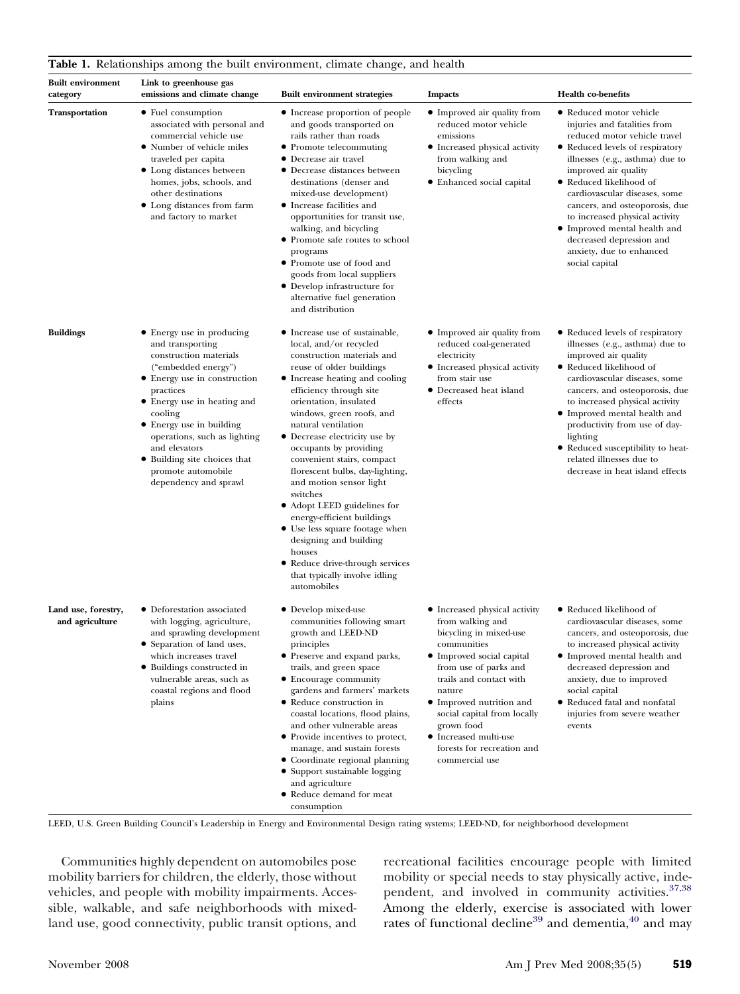#### <span id="page-2-0"></span>**Table 1.** Relationships among the built environment, climate change, and health

| <b>Built environment</b><br>category   | Link to greenhouse gas<br>emissions and climate change                                                                                                                                                                                                                                                                                            | <b>Built environment strategies</b>                                                                                                                                                                                                                                                                                                                                                                                                                                                                                                                                                                                                                     | <b>Impacts</b>                                                                                                                                                                                                                                                                                                                          | <b>Health co-benefits</b>                                                                                                                                                                                                                                                                                                                                                                                                               |
|----------------------------------------|---------------------------------------------------------------------------------------------------------------------------------------------------------------------------------------------------------------------------------------------------------------------------------------------------------------------------------------------------|---------------------------------------------------------------------------------------------------------------------------------------------------------------------------------------------------------------------------------------------------------------------------------------------------------------------------------------------------------------------------------------------------------------------------------------------------------------------------------------------------------------------------------------------------------------------------------------------------------------------------------------------------------|-----------------------------------------------------------------------------------------------------------------------------------------------------------------------------------------------------------------------------------------------------------------------------------------------------------------------------------------|-----------------------------------------------------------------------------------------------------------------------------------------------------------------------------------------------------------------------------------------------------------------------------------------------------------------------------------------------------------------------------------------------------------------------------------------|
| Transportation                         | • Fuel consumption<br>associated with personal and<br>commercial vehicle use<br>• Number of vehicle miles<br>traveled per capita<br>• Long distances between<br>homes, jobs, schools, and<br>other destinations<br>• Long distances from farm<br>and factory to market                                                                            | • Increase proportion of people<br>and goods transported on<br>rails rather than roads<br>• Promote telecommuting<br>• Decrease air travel<br>• Decrease distances between<br>destinations (denser and<br>mixed-use development)<br>• Increase facilities and<br>opportunities for transit use,<br>walking, and bicycling<br>• Promote safe routes to school<br>programs<br>• Promote use of food and<br>goods from local suppliers<br>• Develop infrastructure for<br>alternative fuel generation<br>and distribution                                                                                                                                  | • Improved air quality from<br>reduced motor vehicle<br>emissions<br>• Increased physical activity<br>from walking and<br>bicycling<br>• Enhanced social capital                                                                                                                                                                        | • Reduced motor vehicle<br>injuries and fatalities from<br>reduced motor vehicle travel<br>• Reduced levels of respiratory<br>illnesses (e.g., asthma) due to<br>improved air quality<br>• Reduced likelihood of<br>cardiovascular diseases, some<br>cancers, and osteoporosis, due<br>to increased physical activity<br>$\bullet$ Improved mental health and<br>decreased depression and<br>anxiety, due to enhanced<br>social capital |
| <b>Buildings</b>                       | • Energy use in producing<br>and transporting<br>construction materials<br>("embedded energy")<br>• Energy use in construction<br>practices<br>• Energy use in heating and<br>cooling<br>• Energy use in building<br>operations, such as lighting<br>and elevators<br>• Building site choices that<br>promote automobile<br>dependency and sprawl | • Increase use of sustainable,<br>local, and/or recycled<br>construction materials and<br>reuse of older buildings<br>• Increase heating and cooling<br>efficiency through site<br>orientation, insulated<br>windows, green roofs, and<br>natural ventilation<br>• Decrease electricity use by<br>occupants by providing<br>convenient stairs, compact<br>florescent bulbs, day-lighting,<br>and motion sensor light<br>switches<br>• Adopt LEED guidelines for<br>energy-efficient buildings<br>• Use less square footage when<br>designing and building<br>houses<br>• Reduce drive-through services<br>that typically involve idling<br>automobiles  | • Improved air quality from<br>reduced coal-generated<br>electricity<br>• Increased physical activity<br>from stair use<br>• Decreased heat island<br>effects                                                                                                                                                                           | • Reduced levels of respiratory<br>illnesses (e.g., asthma) due to<br>improved air quality<br>• Reduced likelihood of<br>cardiovascular diseases, some<br>cancers, and osteoporosis, due<br>to increased physical activity<br>$\bullet$ Improved mental health and<br>productivity from use of day-<br>lighting<br>• Reduced susceptibility to heat-<br>related illnesses due to<br>decrease in heat island effects                     |
| Land use, forestry,<br>and agriculture | • Deforestation associated<br>with logging, agriculture,<br>and sprawling development<br>• Separation of land uses,<br>which increases travel<br>• Buildings constructed in<br>vulnerable areas, such as<br>coastal regions and flood<br>plains                                                                                                   | • Develop mixed-use<br>communities following smart<br>growth and LEED-ND<br>principles<br>• Preserve and expand parks,<br>trails, and green space<br>• Encourage community<br>gardens and farmers' markets<br>• Reduce construction in<br>coastal locations, flood plains,<br>and other vulnerable areas<br>• Provide incentives to protect,<br>manage, and sustain forests<br>• Coordinate regional planning<br>• Support sustainable logging<br>and agriculture<br>• Reduce demand for meat<br>consumption<br>LEED, U.S. Green Building Council's Leadership in Energy and Environmental Design rating systems; LEED-ND, for neighborhood development | • Increased physical activity<br>from walking and<br>bicycling in mixed-use<br>communities<br>• Improved social capital<br>from use of parks and<br>trails and contact with<br>nature<br>• Improved nutrition and<br>social capital from locally<br>grown food<br>• Increased multi-use<br>forests for recreation and<br>commercial use | • Reduced likelihood of<br>cardiovascular diseases, some<br>cancers, and osteoporosis, due<br>to increased physical activity<br>• Improved mental health and<br>decreased depression and<br>anxiety, due to improved<br>social capital<br>• Reduced fatal and nonfatal<br>injuries from severe weather<br>events                                                                                                                        |

Communities highly dependent on automobiles pose mobility barriers for children, the elderly, those without vehicles, and people with mobility impairments. Accessible, walkable, and safe neighborhoods with mixedland use, good connectivity, public transit options, and

recreational facilities encourage people with limited mobility or special needs to stay physically active, inde-pendent, and involved in community activities.<sup>[37,38](#page-7-0)</sup> Among the elderly, exercise is associated with lower rates of functional decline $^{39}$  $^{39}$  $^{39}$  and dementia, $^{40}$  $^{40}$  $^{40}$  and may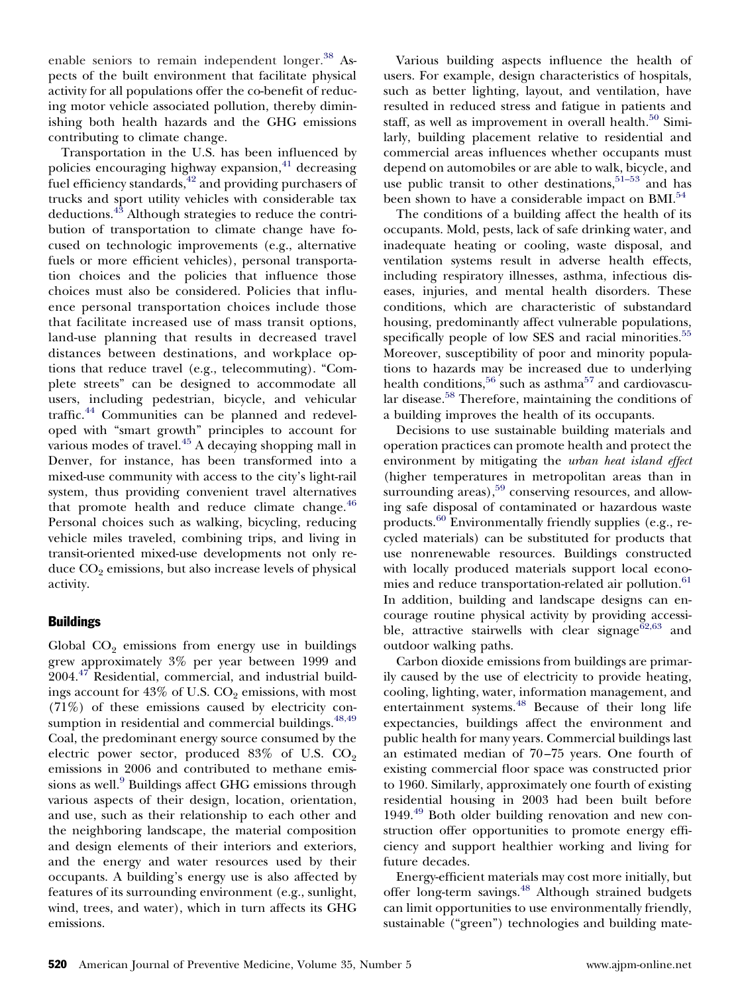enable seniors to remain independent longer.<sup>[38](#page-7-0)</sup> Aspects of the built environment that facilitate physical activity for all populations offer the co-benefit of reducing motor vehicle associated pollution, thereby diminishing both health hazards and the GHG emissions contributing to climate change.

Transportation in the U.S. has been influenced by policies encouraging highway expansion, $41$  decreasing fuel efficiency standards, $42$  and providing purchasers of trucks and sport utility vehicles with considerable tax deductions.[43](#page-7-0) Although strategies to reduce the contribution of transportation to climate change have focused on technologic improvements (e.g., alternative fuels or more efficient vehicles), personal transportation choices and the policies that influence those choices must also be considered. Policies that influence personal transportation choices include those that facilitate increased use of mass transit options, land-use planning that results in decreased travel distances between destinations, and workplace options that reduce travel (e.g., telecommuting). "Complete streets" can be designed to accommodate all users, including pedestrian, bicycle, and vehicular traffic.[44](#page-7-0) Communities can be planned and redeveloped with "smart growth" principles to account for various modes of travel.<sup>[45](#page-7-0)</sup> A decaying shopping mall in Denver, for instance, has been transformed into a mixed-use community with access to the city's light-rail system, thus providing convenient travel alternatives that promote health and reduce climate change.<sup>[46](#page-7-0)</sup> Personal choices such as walking, bicycling, reducing vehicle miles traveled, combining trips, and living in transit-oriented mixed-use developments not only reduce  $CO<sub>2</sub>$  emissions, but also increase levels of physical activity.

# **Buildings**

Global  $CO<sub>2</sub>$  emissions from energy use in buildings grew approximately 3% per year between 1999 and 2004.[47](#page-7-0) Residential, commercial, and industrial buildings account for  $43\%$  of U.S.  $CO<sub>2</sub>$  emissions, with most (71%) of these emissions caused by electricity con-sumption in residential and commercial buildings.<sup>[48,49](#page-7-0)</sup> Coal, the predominant energy source consumed by the electric power sector, produced  $83\%$  of U.S.  $CO<sub>2</sub>$ emissions in 2006 and contributed to methane emis-sions as well.<sup>[9](#page-7-0)</sup> Buildings affect GHG emissions through various aspects of their design, location, orientation, and use, such as their relationship to each other and the neighboring landscape, the material composition and design elements of their interiors and exteriors, and the energy and water resources used by their occupants. A building's energy use is also affected by features of its surrounding environment (e.g., sunlight, wind, trees, and water), which in turn affects its GHG emissions.

Various building aspects influence the health of users. For example, design characteristics of hospitals, such as better lighting, layout, and ventilation, have resulted in reduced stress and fatigue in patients and staff, as well as improvement in overall health.<sup>[50](#page-7-0)</sup> Similarly, building placement relative to residential and commercial areas influences whether occupants must depend on automobiles or are able to walk, bicycle, and use public transit to other destinations,  $51-53$  and has been shown to have a considerable impact on BMI.<sup>[54](#page-8-0)</sup>

The conditions of a building affect the health of its occupants. Mold, pests, lack of safe drinking water, and inadequate heating or cooling, waste disposal, and ventilation systems result in adverse health effects, including respiratory illnesses, asthma, infectious diseases, injuries, and mental health disorders. These conditions, which are characteristic of substandard housing, predominantly affect vulnerable populations, specifically people of low SES and racial minorities.<sup>[55](#page-8-0)</sup> Moreover, susceptibility of poor and minority populations to hazards may be increased due to underlying health conditions,  $56 \text{ such as } \text{asthma}^{57}$  $56 \text{ such as } \text{asthma}^{57}$  $56 \text{ such as } \text{asthma}^{57}$  $56 \text{ such as } \text{asthma}^{57}$  and cardiovascular disease.[58](#page-8-0) Therefore, maintaining the conditions of a building improves the health of its occupants.

Decisions to use sustainable building materials and operation practices can promote health and protect the environment by mitigating the *urban heat island effect* (higher temperatures in metropolitan areas than in surrounding areas), $59$  conserving resources, and allowing safe disposal of contaminated or hazardous waste products.[60](#page-8-0) Environmentally friendly supplies (e.g., recycled materials) can be substituted for products that use nonrenewable resources. Buildings constructed with locally produced materials support local econo-mies and reduce transportation-related air pollution.<sup>[61](#page-8-0)</sup> In addition, building and landscape designs can encourage routine physical activity by providing accessible, attractive stairwells with clear signage $62,63$  and outdoor walking paths.

Carbon dioxide emissions from buildings are primarily caused by the use of electricity to provide heating, cooling, lighting, water, information management, and entertainment systems.[48](#page-7-0) Because of their long life expectancies, buildings affect the environment and public health for many years. Commercial buildings last an estimated median of 70–75 years. One fourth of existing commercial floor space was constructed prior to 1960. Similarly, approximately one fourth of existing residential housing in 2003 had been built before 19[49](#page-7-0).<sup>49</sup> Both older building renovation and new construction offer opportunities to promote energy efficiency and support healthier working and living for future decades.

Energy-efficient materials may cost more initially, but offer long-term savings.<sup>[48](#page-7-0)</sup> Although strained budgets can limit opportunities to use environmentally friendly, sustainable ("green") technologies and building mate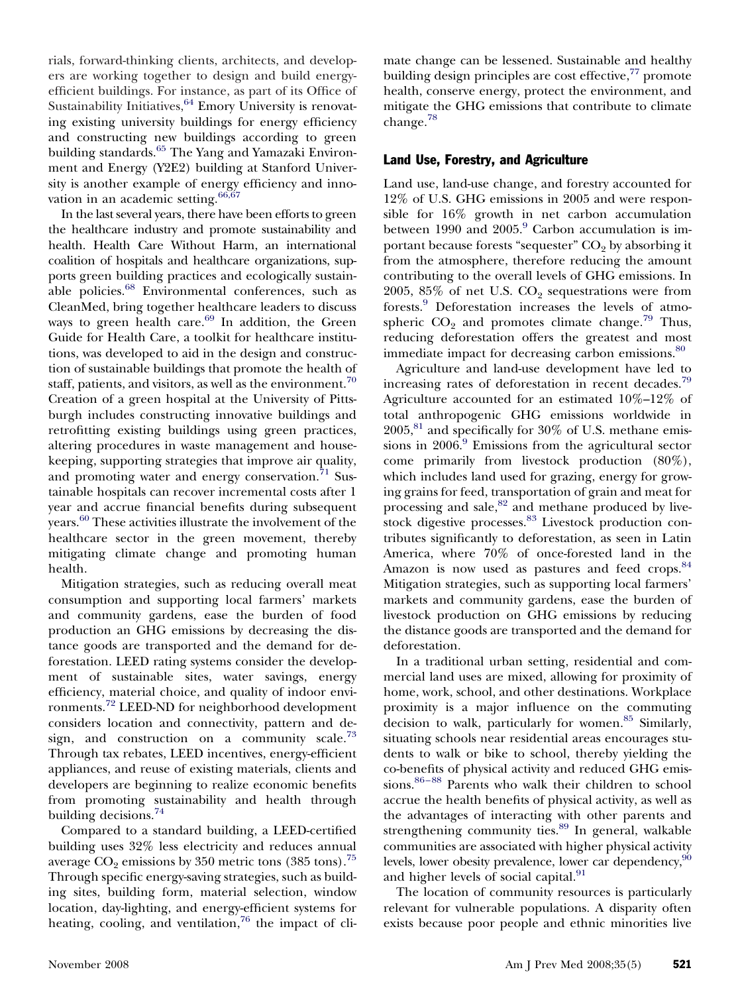rials, forward-thinking clients, architects, and developers are working together to design and build energyefficient buildings. For instance, as part of its Office of Sustainability Initiatives,  $64$  Emory University is renovating existing university buildings for energy efficiency and constructing new buildings according to green building standards.<sup>[65](#page-8-0)</sup> The Yang and Yamazaki Environment and Energy (Y2E2) building at Stanford University is another example of energy efficiency and innovation in an academic setting. $66,67$ 

In the last several years, there have been efforts to green the healthcare industry and promote sustainability and health. Health Care Without Harm, an international coalition of hospitals and healthcare organizations, supports green building practices and ecologically sustain-able policies.<sup>[68](#page-8-0)</sup> Environmental conferences, such as CleanMed, bring together healthcare leaders to discuss ways to green health care. $69$  In addition, the Green Guide for Health Care, a toolkit for healthcare institutions, was developed to aid in the design and construction of sustainable buildings that promote the health of staff, patients, and visitors, as well as the environment.<sup>[70](#page-8-0)</sup> Creation of a green hospital at the University of Pittsburgh includes constructing innovative buildings and retrofitting existing buildings using green practices, altering procedures in waste management and housekeeping, supporting strategies that improve air quality, and promoting water and energy conservation. $71$  Sustainable hospitals can recover incremental costs after 1 year and accrue financial benefits during subsequent years.[60](#page-8-0) These activities illustrate the involvement of the healthcare sector in the green movement, thereby mitigating climate change and promoting human health.

Mitigation strategies, such as reducing overall meat consumption and supporting local farmers' markets and community gardens, ease the burden of food production an GHG emissions by decreasing the distance goods are transported and the demand for deforestation. LEED rating systems consider the development of sustainable sites, water savings, energy efficiency, material choice, and quality of indoor environments.[72](#page-8-0) LEED-ND for neighborhood development considers location and connectivity, pattern and de-sign, and construction on a community scale.<sup>[73](#page-8-0)</sup> Through tax rebates, LEED incentives, energy-efficient appliances, and reuse of existing materials, clients and developers are beginning to realize economic benefits from promoting sustainability and health through building decisions.<sup>[74](#page-8-0)</sup>

Compared to a standard building, a LEED-certified building uses 32% less electricity and reduces annual average  $CO_2$  emissions by 350 metric tons (385 tons).<sup>[75](#page-8-0)</sup> Through specific energy-saving strategies, such as building sites, building form, material selection, window location, day-lighting, and energy-efficient systems for heating, cooling, and ventilation,  $76$  the impact of climate change can be lessened. Sustainable and healthy building design principles are cost effective, $77$  promote health, conserve energy, protect the environment, and mitigate the GHG emissions that contribute to climate change.[78](#page-8-0)

## Land Use, Forestry, and Agriculture

Land use, land-use change, and forestry accounted for 12% of U.S. GHG emissions in 2005 and were responsible for 16% growth in net carbon accumulation between 1[9](#page-7-0)90 and  $2005$ .<sup>9</sup> Carbon accumulation is important because forests "sequester"  $CO<sub>2</sub>$  by absorbing it from the atmosphere, therefore reducing the amount contributing to the overall levels of GHG emissions. In 2005, 85% of net U.S.  $CO_2$  sequestrations were from forests.[9](#page-7-0) Deforestation increases the levels of atmospheric  $CO<sub>2</sub>$  and promotes climate change.<sup>[79](#page-8-0)</sup> Thus, reducing deforestation offers the greatest and most immediate impact for decreasing carbon emissions.<sup>[80](#page-8-0)</sup>

Agriculture and land-use development have led to increasing rates of deforestation in recent decades.<sup>[79](#page-8-0)</sup> Agriculture accounted for an estimated 10%–12% of total anthropogenic GHG emissions worldwide in 2005,[81](#page-8-0) and specifically for 30% of U.S. methane emissions in  $2006$ .<sup>[9](#page-7-0)</sup> Emissions from the agricultural sector come primarily from livestock production (80%), which includes land used for grazing, energy for growing grains for feed, transportation of grain and meat for processing and sale, $82$  and methane produced by live-stock digestive processes.<sup>[83](#page-8-0)</sup> Livestock production contributes significantly to deforestation, as seen in Latin America, where 70% of once-forested land in the Amazon is now used as pastures and feed crops.<sup>[84](#page-8-0)</sup> Mitigation strategies, such as supporting local farmers' markets and community gardens, ease the burden of livestock production on GHG emissions by reducing the distance goods are transported and the demand for deforestation.

In a traditional urban setting, residential and commercial land uses are mixed, allowing for proximity of home, work, school, and other destinations. Workplace proximity is a major influence on the commuting decision to walk, particularly for women.<sup>[85](#page-8-0)</sup> Similarly, situating schools near residential areas encourages students to walk or bike to school, thereby yielding the co-benefits of physical activity and reduced GHG emis-sions.<sup>[86–88](#page-8-0)</sup> Parents who walk their children to school accrue the health benefits of physical activity, as well as the advantages of interacting with other parents and strengthening community ties.<sup>[89](#page-8-0)</sup> In general, walkable communities are associated with higher physical activity levels, lower obesity prevalence, lower car dependency,<sup>90</sup> and higher levels of social capital.<sup>[91](#page-8-0)</sup>

The location of community resources is particularly relevant for vulnerable populations. A disparity often exists because poor people and ethnic minorities live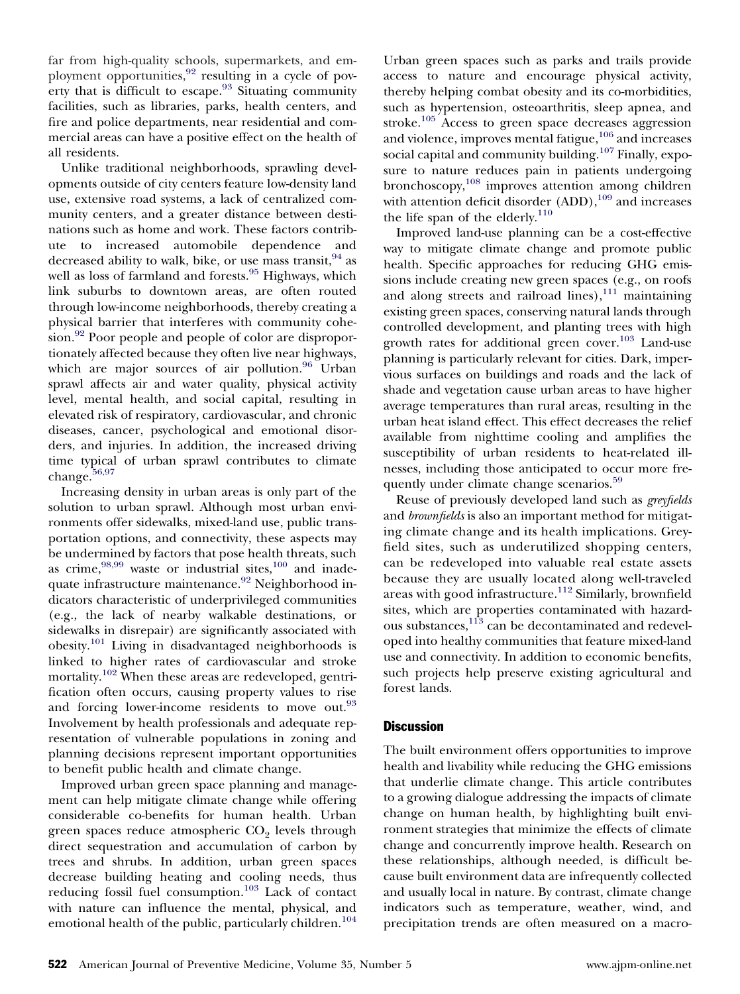far from high-quality schools, supermarkets, and em-ployment opportunities,<sup>[92](#page-8-0)</sup> resulting in a cycle of poverty that is difficult to escape. $93$  Situating community facilities, such as libraries, parks, health centers, and fire and police departments, near residential and commercial areas can have a positive effect on the health of all residents.

Unlike traditional neighborhoods, sprawling developments outside of city centers feature low-density land use, extensive road systems, a lack of centralized community centers, and a greater distance between destinations such as home and work. These factors contribute to increased automobile dependence and decreased ability to walk, bike, or use mass transit,  $94$  as well as loss of farmland and forests.<sup>[95](#page-8-0)</sup> Highways, which link suburbs to downtown areas, are often routed through low-income neighborhoods, thereby creating a physical barrier that interferes with community cohe-sion.<sup>[92](#page-8-0)</sup> Poor people and people of color are disproportionately affected because they often live near highways, which are major sources of air pollution. $96$  Urban sprawl affects air and water quality, physical activity level, mental health, and social capital, resulting in elevated risk of respiratory, cardiovascular, and chronic diseases, cancer, psychological and emotional disorders, and injuries. In addition, the increased driving time typical of urban sprawl contributes to climate change.<sup>[56,97](#page-8-0)</sup>

Increasing density in urban areas is only part of the solution to urban sprawl. Although most urban environments offer sidewalks, mixed-land use, public transportation options, and connectivity, these aspects may be undermined by factors that pose health threats, such as crime,  $98,99$  waste or industrial sites,  $100$  and inade-quate infrastructure maintenance.<sup>[92](#page-8-0)</sup> Neighborhood indicators characteristic of underprivileged communities (e.g., the lack of nearby walkable destinations, or sidewalks in disrepair) are significantly associated with obesity.[101](#page-8-0) Living in disadvantaged neighborhoods is linked to higher rates of cardiovascular and stroke mortality.<sup>[102](#page-8-0)</sup> When these areas are redeveloped, gentrification often occurs, causing property values to rise and forcing lower-income residents to move out.<sup>[93](#page-8-0)</sup> Involvement by health professionals and adequate representation of vulnerable populations in zoning and planning decisions represent important opportunities to benefit public health and climate change.

Improved urban green space planning and management can help mitigate climate change while offering considerable co-benefits for human health. Urban green spaces reduce atmospheric  $CO<sub>2</sub>$  levels through direct sequestration and accumulation of carbon by trees and shrubs. In addition, urban green spaces decrease building heating and cooling needs, thus reducing fossil fuel consumption. $103$  Lack of contact with nature can influence the mental, physical, and emotional health of the public, particularly children.<sup>[104](#page-8-0)</sup>

Urban green spaces such as parks and trails provide access to nature and encourage physical activity, thereby helping combat obesity and its co-morbidities, such as hypertension, osteoarthritis, sleep apnea, and stroke.[105](#page-8-0) Access to green space decreases aggression and violence, improves mental fatigue, $106$  and increases social capital and community building.<sup>[107](#page-8-0)</sup> Finally, exposure to nature reduces pain in patients undergoing bronchoscopy,[108](#page-9-0) improves attention among children with attention deficit disorder  $(ADD)$ ,  $^{109}$  $^{109}$  $^{109}$  and increases the life span of the elderly. $110$ 

Improved land-use planning can be a cost-effective way to mitigate climate change and promote public health. Specific approaches for reducing GHG emissions include creating new green spaces (e.g., on roofs and along streets and railroad lines), $111$  maintaining existing green spaces, conserving natural lands through controlled development, and planting trees with high growth rates for additional green cover.<sup>[103](#page-9-0)</sup> Land-use planning is particularly relevant for cities. Dark, impervious surfaces on buildings and roads and the lack of shade and vegetation cause urban areas to have higher average temperatures than rural areas, resulting in the urban heat island effect. This effect decreases the relief available from nighttime cooling and amplifies the susceptibility of urban residents to heat-related illnesses, including those anticipated to occur more fre-quently under climate change scenarios.<sup>[59](#page-8-0)</sup>

Reuse of previously developed land such as *greyfields* and *brownfields* is also an important method for mitigating climate change and its health implications. Greyfield sites, such as underutilized shopping centers, can be redeveloped into valuable real estate assets because they are usually located along well-traveled areas with good infrastructure.<sup>[112](#page-9-0)</sup> Similarly, brownfield sites, which are properties contaminated with hazardous substances, $^{113}$  $^{113}$  $^{113}$  can be decontaminated and redeveloped into healthy communities that feature mixed-land use and connectivity. In addition to economic benefits, such projects help preserve existing agricultural and forest lands.

### **Discussion**

The built environment offers opportunities to improve health and livability while reducing the GHG emissions that underlie climate change. This article contributes to a growing dialogue addressing the impacts of climate change on human health, by highlighting built environment strategies that minimize the effects of climate change and concurrently improve health. Research on these relationships, although needed, is difficult because built environment data are infrequently collected and usually local in nature. By contrast, climate change indicators such as temperature, weather, wind, and precipitation trends are often measured on a macro-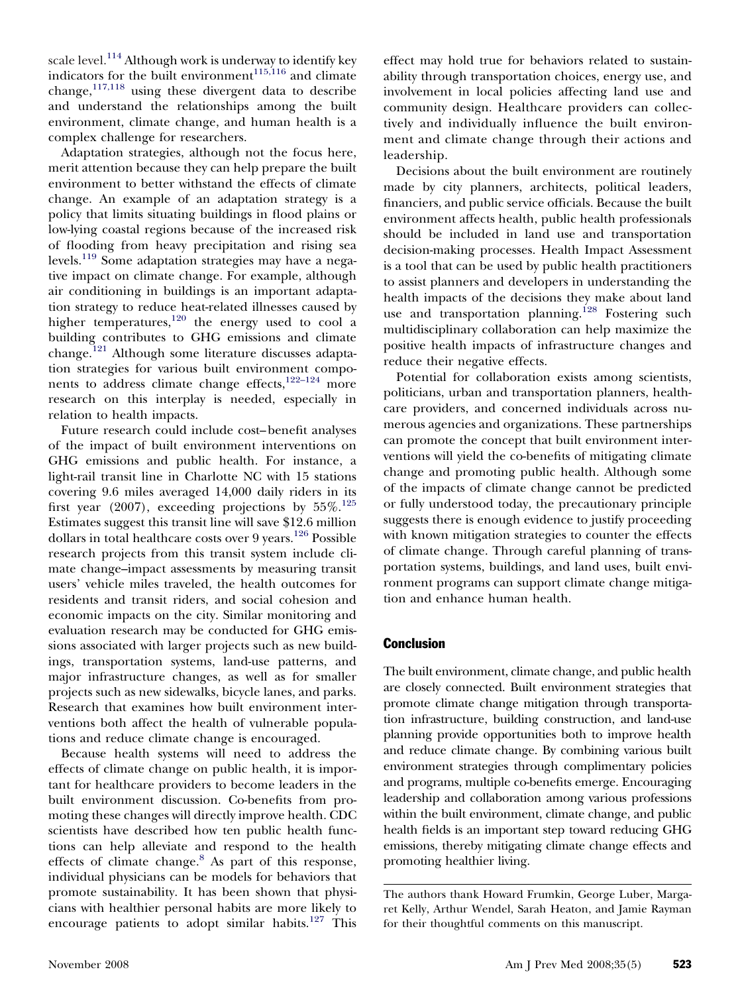scale level.<sup>[114](#page-9-0)</sup> Although work is underway to identify key indicators for the built environment $^{115,116}$  $^{115,116}$  $^{115,116}$  and climate change,[117,118](#page-9-0) using these divergent data to describe and understand the relationships among the built environment, climate change, and human health is a complex challenge for researchers.

Adaptation strategies, although not the focus here, merit attention because they can help prepare the built environment to better withstand the effects of climate change. An example of an adaptation strategy is a policy that limits situating buildings in flood plains or low-lying coastal regions because of the increased risk of flooding from heavy precipitation and rising sea levels.[119](#page-9-0) Some adaptation strategies may have a negative impact on climate change. For example, although air conditioning in buildings is an important adaptation strategy to reduce heat-related illnesses caused by higher temperatures, $120$  the energy used to cool a building contributes to GHG emissions and climate change.[121](#page-9-0) Although some literature discusses adaptation strategies for various built environment components to address climate change effects, $122-124$  more research on this interplay is needed, especially in relation to health impacts.

Future research could include cost–benefit analyses of the impact of built environment interventions on GHG emissions and public health. For instance, a light-rail transit line in Charlotte NC with 15 stations covering 9.6 miles averaged 14,000 daily riders in its first year (2007), exceeding projections by  $55\%$ .<sup>[125](#page-9-0)</sup> Estimates suggest this transit line will save \$12.6 million dollars in total healthcare costs over 9 years.<sup>[126](#page-9-0)</sup> Possible research projects from this transit system include climate change–impact assessments by measuring transit users' vehicle miles traveled, the health outcomes for residents and transit riders, and social cohesion and economic impacts on the city. Similar monitoring and evaluation research may be conducted for GHG emissions associated with larger projects such as new buildings, transportation systems, land-use patterns, and major infrastructure changes, as well as for smaller projects such as new sidewalks, bicycle lanes, and parks. Research that examines how built environment interventions both affect the health of vulnerable populations and reduce climate change is encouraged.

Because health systems will need to address the effects of climate change on public health, it is important for healthcare providers to become leaders in the built environment discussion. Co-benefits from promoting these changes will directly improve health. CDC scientists have described how ten public health functions can help alleviate and respond to the health effects of climate change.<sup>[8](#page-7-0)</sup> As part of this response, individual physicians can be models for behaviors that promote sustainability. It has been shown that physicians with healthier personal habits are more likely to encourage patients to adopt similar habits.<sup>[127](#page-9-0)</sup> This effect may hold true for behaviors related to sustainability through transportation choices, energy use, and involvement in local policies affecting land use and community design. Healthcare providers can collectively and individually influence the built environment and climate change through their actions and leadership.

Decisions about the built environment are routinely made by city planners, architects, political leaders, financiers, and public service officials. Because the built environment affects health, public health professionals should be included in land use and transportation decision-making processes. Health Impact Assessment is a tool that can be used by public health practitioners to assist planners and developers in understanding the health impacts of the decisions they make about land use and transportation planning.<sup>[128](#page-9-0)</sup> Fostering such multidisciplinary collaboration can help maximize the positive health impacts of infrastructure changes and reduce their negative effects.

Potential for collaboration exists among scientists, politicians, urban and transportation planners, healthcare providers, and concerned individuals across numerous agencies and organizations. These partnerships can promote the concept that built environment interventions will yield the co-benefits of mitigating climate change and promoting public health. Although some of the impacts of climate change cannot be predicted or fully understood today, the precautionary principle suggests there is enough evidence to justify proceeding with known mitigation strategies to counter the effects of climate change. Through careful planning of transportation systems, buildings, and land uses, built environment programs can support climate change mitigation and enhance human health.

### **Conclusion**

The built environment, climate change, and public health are closely connected. Built environment strategies that promote climate change mitigation through transportation infrastructure, building construction, and land-use planning provide opportunities both to improve health and reduce climate change. By combining various built environment strategies through complimentary policies and programs, multiple co-benefits emerge. Encouraging leadership and collaboration among various professions within the built environment, climate change, and public health fields is an important step toward reducing GHG emissions, thereby mitigating climate change effects and promoting healthier living.

The authors thank Howard Frumkin, George Luber, Margaret Kelly, Arthur Wendel, Sarah Heaton, and Jamie Rayman for their thoughtful comments on this manuscript.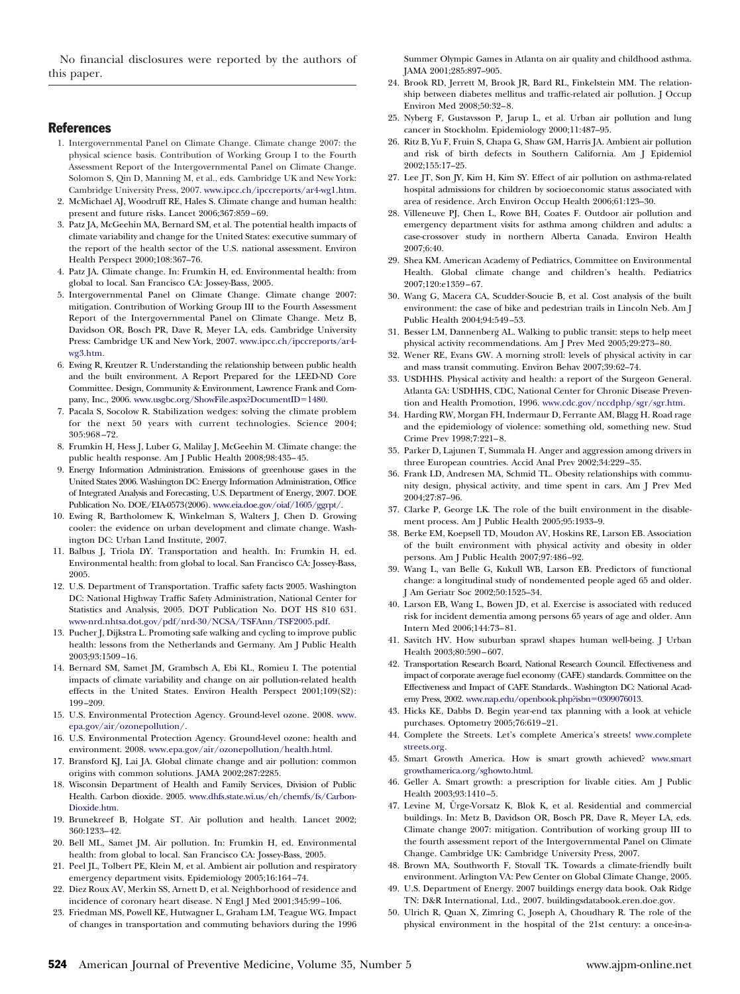<span id="page-7-0"></span>No financial disclosures were reported by the authors of this paper.

#### References

- 1. Intergovernmental Panel on Climate Change. Climate change 2007: the physical science basis. Contribution of Working Group I to the Fourth Assessment Report of the Intergovernmental Panel on Climate Change. Solomon S, Qin D, Manning M, et al., eds. Cambridge UK and New York: Cambridge University Press, 2007. [www.ipcc.ch/ipccreports/ar4-wg1.htm.](http://www.ipcc.ch/ipccreports/ar4-wg1.htm)
- 2. McMichael AJ, Woodruff RE, Hales S. Climate change and human health: present and future risks. Lancet 2006;367:859–69.
- 3. Patz JA, McGeehin MA, Bernard SM, et al. The potential health impacts of climate variability and change for the United States: executive summary of the report of the health sector of the U.S. national assessment. Environ Health Perspect 2000;108:367–76.
- 4. Patz JA. Climate change. In: Frumkin H, ed. Environmental health: from global to local. San Francisco CA: Jossey-Bass, 2005.
- 5. Intergovernmental Panel on Climate Change. Climate change 2007: mitigation. Contribution of Working Group III to the Fourth Assessment Report of the Intergovernmental Panel on Climate Change. Metz B, Davidson OR, Bosch PR, Dave R, Meyer LA, eds. Cambridge University Press: Cambridge UK and New York, 2007. [www.ipcc.ch/ipccreports/ar4](http://www.ipcc.ch/ipccreports/ar4-wg3.htm) [wg3.htm.](http://www.ipcc.ch/ipccreports/ar4-wg3.htm)
- 6. Ewing R, Kreutzer R. Understanding the relationship between public health and the built environment. A Report Prepared for the LEED-ND Core Committee. Design, Community & Environment, Lawrence Frank and Company, Inc., 2006. [www.usgbc.org/ShowFile.aspx?DocumentID](http://www.usgbc.org/ShowFile.aspx?DocumentID=1480)=1480.
- 7. Pacala S, Socolow R. Stabilization wedges: solving the climate problem for the next 50 years with current technologies. Science 2004; 305:968 –72.
- 8. Frumkin H, Hess J, Luber G, Malilay J, McGeehin M. Climate change: the public health response. Am J Public Health 2008;98:435–45.
- 9. Energy Information Administration. Emissions of greenhouse gases in the United States 2006. Washington DC: Energy Information Administration, Office of Integrated Analysis and Forecasting, U.S. Department of Energy, 2007. DOE Publication No. DOE/EIA-0573(2006). [www.eia.doe.gov/oiaf/1605/ggrpt/.](http://www.eia.doe.gov/oiaf/1605/ggrpt/)
- 10. Ewing R, Bartholomew K, Winkelman S, Walters J, Chen D. Growing cooler: the evidence on urban development and climate change. Washington DC: Urban Land Institute, 2007.
- 11. Balbus J, Triola DY. Transportation and health. In: Frumkin H, ed. Environmental health: from global to local. San Francisco CA: Jossey-Bass, 2005.
- 12. U.S. Department of Transportation. Traffic safety facts 2005. Washington DC: National Highway Traffic Safety Administration, National Center for Statistics and Analysis, 2005. DOT Publication No. DOT HS 810 631. [www-nrd.nhtsa.dot.gov/pdf/nrd-30/NCSA/TSFAnn/TSF2005.pdf.](http://www-nrd.nhtsa.dot.gov/pdf/nrd-30/NCSA/TSFAnn/TSF2005.pdf)
- 13. Pucher J, Dijkstra L. Promoting safe walking and cycling to improve public health: lessons from the Netherlands and Germany. Am J Public Health 2003;93:1509–16.
- 14. Bernard SM, Samet JM, Grambsch A, Ebi KL, Romieu I. The potential impacts of climate variability and change on air pollution-related health effects in the United States. Environ Health Perspect 2001;109(S2): 199–209.
- 15. U.S. Environmental Protection Agency. Ground-level ozone. 2008. [www.](http://www.epa.gov/air/ozonepollution/) [epa.gov/air/ozonepollution/.](http://www.epa.gov/air/ozonepollution/)
- 16. U.S. Environmental Protection Agency. Ground-level ozone: health and environment. 2008. [www.epa.gov/air/ozonepollution/health.html.](http://www.epa.gov/air/ozonepollution/health.html)
- 17. Bransford KJ, Lai JA. Global climate change and air pollution: common origins with common solutions. JAMA 2002;287:2285.
- 18. Wisconsin Department of Health and Family Services, Division of Public Health. Carbon dioxide. 2005. [www.dhfs.state.wi.us/eh/chemfs/fs/Carbon-](http://www.dhfs.state.wi.us/eh/chemfs/fs/CarbonDioxide.htm)[Dioxide.htm.](http://www.dhfs.state.wi.us/eh/chemfs/fs/CarbonDioxide.htm)
- 19. Brunekreef B, Holgate ST. Air pollution and health. Lancet 2002; 360:1233–42.
- 20. Bell ML, Samet JM. Air pollution. In: Frumkin H, ed. Environmental health: from global to local. San Francisco CA: Jossey-Bass, 2005.
- 21. Peel JL, Tolbert PE, Klein M, et al. Ambient air pollution and respiratory emergency department visits. Epidemiology 2005;16:164–74.
- 22. Diez Roux AV, Merkin SS, Arnett D, et al. Neighborhood of residence and incidence of coronary heart disease. N Engl J Med 2001;345:99–106.
- 23. Friedman MS, Powell KE, Hutwagner L, Graham LM, Teague WG. Impact of changes in transportation and commuting behaviors during the 1996

Summer Olympic Games in Atlanta on air quality and childhood asthma. JAMA 2001;285:897–905.

- 24. Brook RD, Jerrett M, Brook JR, Bard RL, Finkelstein MM. The relationship between diabetes mellitus and traffic-related air pollution. J Occup Environ Med 2008;50:32–8.
- 25. Nyberg F, Gustavsson P, Jarup L, et al. Urban air pollution and lung cancer in Stockholm. Epidemiology 2000;11:487–95.
- 26. Ritz B, Yu F, Fruin S, Chapa G, Shaw GM, Harris JA. Ambient air pollution and risk of birth defects in Southern California. Am J Epidemiol 2002;155:17–25.
- 27. Lee JT, Son JY, Kim H, Kim SY. Effect of air pollution on asthma-related hospital admissions for children by socioeconomic status associated with area of residence. Arch Environ Occup Health 2006;61:123–30.
- 28. Villeneuve PJ, Chen L, Rowe BH, Coates F. Outdoor air pollution and emergency department visits for asthma among children and adults: a case-crossover study in northern Alberta Canada. Environ Health 2007;6:40.
- 29. Shea KM. American Academy of Pediatrics, Committee on Environmental Health. Global climate change and children's health. Pediatrics 2007;120:e1359–67.
- 30. Wang G, Macera CA, Scudder-Soucie B, et al. Cost analysis of the built environment: the case of bike and pedestrian trails in Lincoln Neb. Am J Public Health 2004;94:549–53.
- 31. Besser LM, Dannenberg AL. Walking to public transit: steps to help meet physical activity recommendations. Am J Prev Med 2005;29:273–80.
- 32. Wener RE, Evans GW. A morning stroll: levels of physical activity in car and mass transit commuting. Environ Behav 2007;39:62–74.
- 33. USDHHS. Physical activity and health: a report of the Surgeon General. Atlanta GA: USDHHS, CDC, National Center for Chronic Disease Prevention and Health Promotion, 1996. [www.cdc.gov/nccdphp/sgr/sgr.htm.](http://www.cdc.gov/nccdphp/sgr/sgr.htm)
- 34. Harding RW, Morgan FH, Indermaur D, Ferrante AM, Blagg H. Road rage and the epidemiology of violence: something old, something new. Stud Crime Prev 1998;7:221–8.
- 35. Parker D, Lajunen T, Summala H. Anger and aggression among drivers in three European countries. Accid Anal Prev 2002;34:229–35.
- 36. Frank LD, Andresen MA, Schmid TL. Obesity relationships with community design, physical activity, and time spent in cars. Am J Prev Med 2004;27:87–96.
- 37. Clarke P, George LK. The role of the built environment in the disablement process. Am J Public Health 2005;95:1933–9.
- 38. Berke EM, Koepsell TD, Moudon AV, Hoskins RE, Larson EB. Association of the built environment with physical activity and obesity in older persons. Am J Public Health 2007;97:486–92.
- 39. Wang L, van Belle G, Kukull WB, Larson EB. Predictors of functional change: a longitudinal study of nondemented people aged 65 and older. J Am Geriatr Soc 2002;50:1525–34.
- 40. Larson EB, Wang L, Bowen JD, et al. Exercise is associated with reduced risk for incident dementia among persons 65 years of age and older. Ann Intern Med 2006;144:73–81.
- 41. Savitch HV. How suburban sprawl shapes human well-being. J Urban Health 2003;80:590–607.
- 42. Transportation Research Board, National Research Council. Effectiveness and impact of corporate average fuel economy (CAFE) standards. Committee on the Effectiveness and Impact of CAFE Standards.. Washington DC: National Academy Press, 2002. [www.nap.edu/openbook.php?isbn](http://www.nap.edu/openbook.php?isbn=0309076013)-0309076013.
- 43. Hicks KE, Dabbs D. Begin year-end tax planning with a look at vehicle purchases. Optometry 2005;76:619–21.
- 44. Complete the Streets. Let's complete America's streets! [www.complete](http://www.completestreets.org) [streets.org.](http://www.completestreets.org)
- 45. Smart Growth America. How is smart growth achieved? [www.smart](http://www.smartgrowthamerica.org/sghowto.html) [growthamerica.org/sghowto.html.](http://www.smartgrowthamerica.org/sghowto.html)
- 46. Geller A. Smart growth: a prescription for livable cities. Am J Public Health 2003;93:1410–5.
- 47. Levine M, Ürge-Vorsatz K, Blok K, et al. Residential and commercial buildings. In: Metz B, Davidson OR, Bosch PR, Dave R, Meyer LA, eds. Climate change 2007: mitigation. Contribution of working group III to the fourth assessment report of the Intergovernmental Panel on Climate Change. Cambridge UK: Cambridge University Press, 2007.
- 48. Brown MA, Southworth F, Stovall TK. Towards a climate-friendly built environment. Arlington VA: Pew Center on Global Climate Change, 2005.
- 49. U.S. Department of Energy. 2007 buildings energy data book. Oak Ridge TN: D&R International, Ltd., 2007. buildingsdatabook.eren.doe.gov.
- 50. Ulrich R, Quan X, Zimring C, Joseph A, Choudhary R. The role of the physical environment in the hospital of the 21st century: a once-in-a-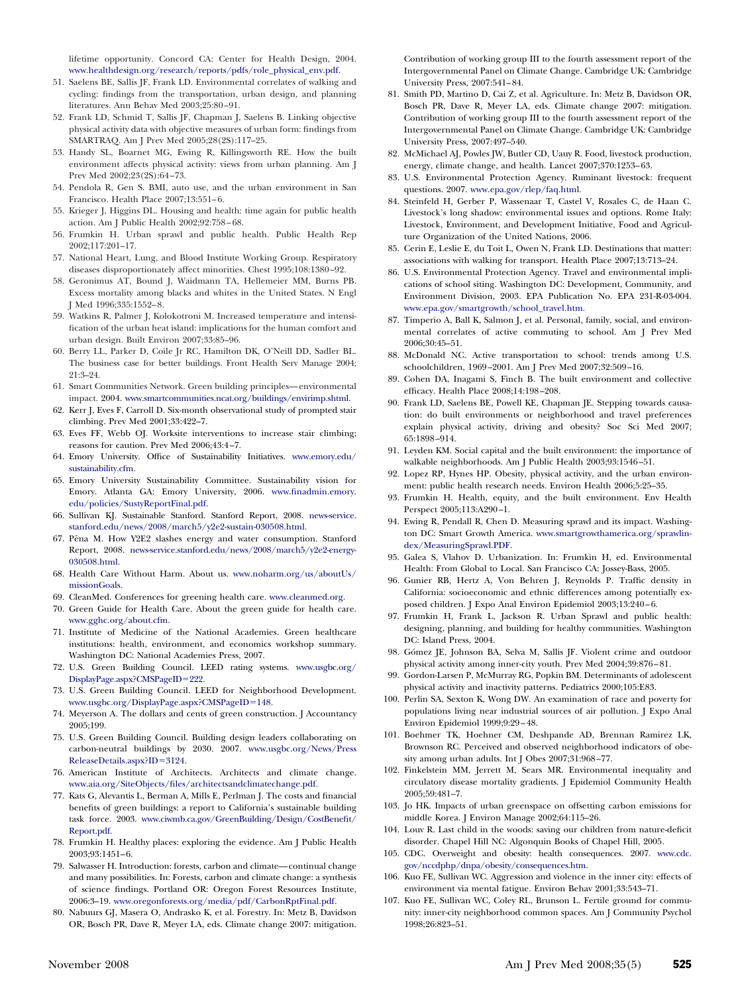<span id="page-8-0"></span>lifetime opportunity. Concord CA: Center for Health Design, 2004. [www.healthdesign.org/research/reports/pdfs/role\\_physical\\_env.pdf.](http://www.healthdesign.org/research/reports/pdfs/role_physical_env.pdf)

- 51. Saelens BE, Sallis JF, Frank LD. Environmental correlates of walking and cycling: findings from the transportation, urban design, and planning literatures. Ann Behav Med 2003;25:80–91.
- 52. Frank LD, Schmid T, Sallis JF, Chapman J, Saelens B. Linking objective physical activity data with objective measures of urban form: findings from SMARTRAQ. Am J Prev Med 2005;28(2S):117–25.
- 53. Handy SL, Boarnet MG, Ewing R, Killingsworth RE. How the built environment affects physical activity: views from urban planning. Am J Prev Med 2002;23(2S):64–73.
- 54. Pendola R, Gen S. BMI, auto use, and the urban environment in San Francisco. Health Place 2007;13:551–6.
- 55. Krieger J, Higgins DL. Housing and health: time again for public health action. Am J Public Health 2002;92:758–68.
- 56. Frumkin H. Urban sprawl and public health. Public Health Rep 2002;117:201–17.
- 57. National Heart, Lung, and Blood Institute Working Group. Respiratory diseases disproportionately affect minorities. Chest 1995;108:1380–92.
- 58. Geronimus AT, Bound J, Waidmann TA, Hellemeier MM, Burns PB. Excess mortality among blacks and whites in the United States. N Engl J Med 1996;335:1552–8.
- 59. Watkins R, Palmer J, Kolokotroni M. Increased temperature and intensification of the urban heat island: implications for the human comfort and urban design. Built Environ 2007;33:85–96.
- 60. Berry LL, Parker D, Coile Jr RC, Hamilton DK, O'Neill DD, Sadler BL. The business case for better buildings. Front Health Serv Manage 2004; 21:3–24.
- 61. Smart Communities Network. Green building principles—environmental impact. 2004. [www.smartcommunities.ncat.org/buildings/envirimp.shtml.](http://www.smartcommunities.ncat.org/buildings/envirimp.shtml)
- 62. Kerr J, Eves F, Carroll D. Six-month observational study of prompted stair climbing. Prev Med 2001;33:422–7.
- 63. Eves FF, Webb OJ. Worksite interventions to increase stair climbing; reasons for caution. Prev Med 2006;43:4–7.
- 64. Emory University. Office of Sustainability Initiatives. [www.emory.edu/](http://www.emory.edu/sustainability.cfm) [sustainability.cfm.](http://www.emory.edu/sustainability.cfm)
- 65. Emory University Sustainability Committee. Sustainability vision for Emory. Atlanta GA: Emory University, 2006. [www.finadmin.emory.](http://www.finadmin.emory.edu/policies/SustyReportFinal.pdf) [edu/policies/SustyReportFinal.pdf.](http://www.finadmin.emory.edu/policies/SustyReportFinal.pdf)
- 66. Sullivan KJ. Sustainable Stanford. Stanford Report, 2008. [news-service.](http://news-service.stanford.edu/news/2008/march5/y2e2-sustain-030508.html) [stanford.edu/news/2008/march5/y2e2-sustain-030508.html.](http://news-service.stanford.edu/news/2008/march5/y2e2-sustain-030508.html)
- 67. Pēna M. How Y2E2 slashes energy and water consumption. Stanford Report, 2008. [news-service.stanford.edu/news/2008/march5/y2e2-energy-](http://news-service.stanford.edu/news/2008/march5/y2e2-energy-030508.html)[030508.html.](http://news-service.stanford.edu/news/2008/march5/y2e2-energy-030508.html)
- 68. Health Care Without Harm. About us. [www.noharm.org/us/aboutUs/](http://www.noharm.org/us/aboutUs/missionGoals) [missionGoals.](http://www.noharm.org/us/aboutUs/missionGoals)
- 69. CleanMed. Conferences for greening health care. [www.cleanmed.org.](http://www.cleanmed.org)
- 70. Green Guide for Health Care. About the green guide for health care. [www.gghc.org/about.cfm.](http://www.gghc.org/about.cfm)
- 71. Institute of Medicine of the National Academies. Green healthcare institutions: health, environment, and economics workshop summary. Washington DC: National Academies Press, 2007.
- 72. U.S. Green Building Council. LEED rating systems. [www.usgbc.org/](http://www.usgbc.org/DisplayPage.aspx?CMSPageID=222) [DisplayPage.aspx?CMSPageID](http://www.usgbc.org/DisplayPage.aspx?CMSPageID=222)-222.
- 73. U.S. Green Building Council. LEED for Neighborhood Development. [www.usgbc.org/DisplayPage.aspx?CMSPageID](http://www.usgbc.org/DisplayPage.aspx?CMSPageID=148)-148.
- 74. Meyerson A. The dollars and cents of green construction. J Accountancy 2005;199.
- 75. U.S. Green Building Council. Building design leaders collaborating on carbon-neutral buildings by 2030. 2007. [www.usgbc.org/News/Press](http://www.usgbc.org/News/PressReleaseDetails.aspx?ID=3124) [ReleaseDetails.aspx?ID](http://www.usgbc.org/News/PressReleaseDetails.aspx?ID=3124)-3124.
- 76. American Institute of Architects. Architects and climate change. [www.aia.org/SiteObjects/files/architectsandclimatechange.pdf.](http://www.aia.org/SiteObjects/files/architectsandclimatechange.pdf)
- 77. Kats G, Alevantis L, Berman A, Mills E, Perlman J. The costs and financial benefits of green buildings: a report to California's sustainable building task force. 2003. [www.ciwmb.ca.gov/GreenBuilding/Design/CostBenefit/](http://www.ciwmb.ca.gov/GreenBuilding/Design/CostBenefit/Report.pdf) [Report.pdf.](http://www.ciwmb.ca.gov/GreenBuilding/Design/CostBenefit/Report.pdf)
- 78. Frumkin H. Healthy places: exploring the evidence. Am J Public Health 2003;93:1451–6.
- 79. Salwasser H. Introduction: forests, carbon and climate—continual change and many possibilities. In: Forests, carbon and climate change: a synthesis of science findings. Portland OR: Oregon Forest Resources Institute, 2006:3–19. [www.oregonforests.org/media/pdf/CarbonRptFinal.pdf.](http://www.oregonforests.org/media/pdf/CarbonRptFinal.pdf)
- 80. Nabuurs GJ, Masera O, Andrasko K, et al. Forestry. In: Metz B, Davidson OR, Bosch PR, Dave R, Meyer LA, eds. Climate change 2007: mitigation.

Contribution of working group III to the fourth assessment report of the Intergovernmental Panel on Climate Change. Cambridge UK: Cambridge University Press, 2007:541–84.

- 81. Smith PD, Martino D, Cai Z, et al. Agriculture. In: Metz B, Davidson OR, Bosch PR, Dave R, Meyer LA, eds. Climate change 2007: mitigation. Contribution of working group III to the fourth assessment report of the Intergovernmental Panel on Climate Change. Cambridge UK: Cambridge University Press, 2007:497–540.
- 82. McMichael AJ, Powles JW, Butler CD, Uauy R. Food, livestock production, energy, climate change, and health. Lancet 2007;370:1253–63.
- 83. U.S. Environmental Protection Agency. Ruminant livestock: frequent questions. 2007. [www.epa.gov/rlep/faq.html.](http://www.epa.gov/rlep/faq.html)
- 84. Steinfeld H, Gerber P, Wassenaar T, Castel V, Rosales C, de Haan C. Livestock's long shadow: environmental issues and options. Rome Italy: Livestock, Environment, and Development Initiative, Food and Agriculture Organization of the United Nations, 2006.
- 85. Cerin E, Leslie E, du Toit L, Owen N, Frank LD. Destinations that matter: associations with walking for transport. Health Place 2007;13:713–24.
- 86. U.S. Environmental Protection Agency. Travel and environmental implications of school siting. Washington DC: Development, Community, and Environment Division, 2003. EPA Publication No. EPA 231-R-03-004. [www.epa.gov/smartgrowth/school\\_travel.htm.](http://www.epa.gov/smartgrowth/school_travel.htm)
- 87. Timperio A, Ball K, Salmon J, et al. Personal, family, social, and environmental correlates of active commuting to school. Am J Prev Med 2006;30:45–51.
- 88. McDonald NC. Active transportation to school: trends among U.S. schoolchildren, 1969–2001. Am J Prev Med 2007;32:509–16.
- 89. Cohen DA, Inagami S, Finch B. The built environment and collective efficacy. Health Place 2008;14:198–208.
- 90. Frank LD, Saelens BE, Powell KE, Chapman JE. Stepping towards causation: do built environments or neighborhood and travel preferences explain physical activity, driving and obesity? Soc Sci Med 2007; 65:1898–914.
- 91. Leyden KM. Social capital and the built environment: the importance of walkable neighborhoods. Am J Public Health 2003;93:1546–51.
- 92. Lopez RP, Hynes HP. Obesity, physical activity, and the urban environment: public health research needs. Environ Health 2006;5:25–35.
- 93. Frumkin H. Health, equity, and the built environment. Env Health Perspect 2005;113:A290–1.
- 94. Ewing R, Pendall R, Chen D. Measuring sprawl and its impact. Washington DC: Smart Growth America. [www.smartgrowthamerica.org/sprawlin](http://www.smartgrowthamerica.org/sprawlindex/MeasuringSprawl.PDF)[dex/MeasuringSprawl.PDF.](http://www.smartgrowthamerica.org/sprawlindex/MeasuringSprawl.PDF)
- 95. Galea S, Vlahov D. Urbanization. In: Frumkin H, ed. Environmental Health: From Global to Local. San Francisco CA: Jossey-Bass, 2005.
- 96. Gunier RB, Hertz A, Von Behren J, Reynolds P. Traffic density in California: socioeconomic and ethnic differences among potentially exposed children. J Expo Anal Environ Epidemiol 2003;13:240–6.
- 97. Frumkin H, Frank L, Jackson R. Urban Sprawl and public health: designing, planning, and building for healthy communities. Washington DC: Island Press, 2004.
- 98. Gómez JE, Johnson BA, Selva M, Sallis JF. Violent crime and outdoor physical activity among inner-city youth. Prev Med 2004;39:876–81.
- 99. Gordon-Larsen P, McMurray RG, Popkin BM. Determinants of adolescent physical activity and inactivity patterns. Pediatrics 2000;105:E83.
- 100. Perlin SA, Sexton K, Wong DW. An examination of race and poverty for populations living near industrial sources of air pollution. J Expo Anal Environ Epidemiol 1999;9:29–48.
- 101. Boehmer TK, Hoehner CM, Deshpande AD, Brennan Ramirez LK, Brownson RC. Perceived and observed neighborhood indicators of obesity among urban adults. Int J Obes 2007;31:968–77.
- 102. Finkelstein MM, Jerrett M, Sears MR. Environmental inequality and circulatory disease mortality gradients. J Epidemiol Community Health 2005;59:481–7.
- 103. Jo HK. Impacts of urban greenspace on offsetting carbon emissions for middle Korea. J Environ Manage 2002;64:115–26.
- 104. Louv R. Last child in the woods: saving our children from nature-deficit disorder. Chapel Hill NC: Algonquin Books of Chapel Hill, 2005.
- 105. CDC. Overweight and obesity: health consequences. 2007. [www.cdc.](http://www.cdc.gov/nccdphp/dnpa/obesity/consequences.htm) [gov/nccdphp/dnpa/obesity/consequences.htm.](http://www.cdc.gov/nccdphp/dnpa/obesity/consequences.htm)
- 106. Kuo FE, Sullivan WC. Aggression and violence in the inner city: effects of environment via mental fatigue. Environ Behav 2001;33:543–71.
- 107. Kuo FE, Sullivan WC, Coley RL, Brunson L. Fertile ground for community: inner-city neighborhood common spaces. Am J Community Psychol 1998;26:823–51.